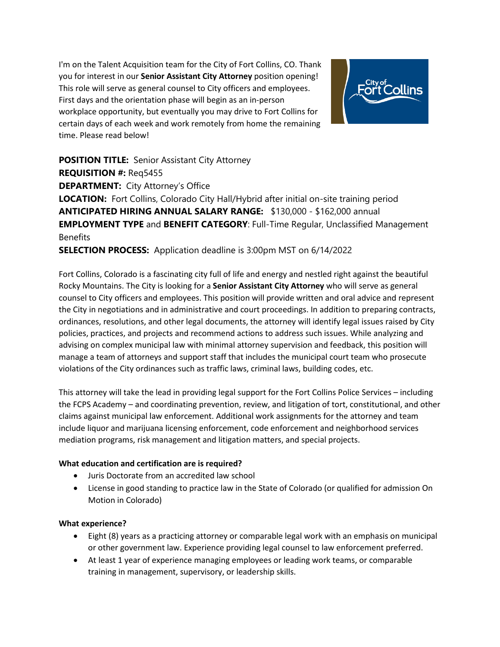I'm on the Talent Acquisition team for the City of Fort Collins, CO. Thank you for interest in our **Senior Assistant City Attorney** position opening! This role will serve as general counsel to City officers and employees. First days and the orientation phase will begin as an in-person workplace opportunity, but eventually you may drive to Fort Collins for certain days of each week and work remotely from home the remaining time. Please read below!



**POSITION TITLE:** Senior Assistant City Attorney **REQUISITION #:** Req5455 **DEPARTMENT:** City Attorney's Office **LOCATION:** Fort Collins, Colorado City Hall/Hybrid after initial on-site training period **ANTICIPATED HIRING ANNUAL SALARY RANGE:** \$130,000 - \$162,000 annual **EMPLOYMENT TYPE** and **BENEFIT CATEGORY**: Full-Time Regular, Unclassified Management **Benefits** 

**SELECTION PROCESS:** Application deadline is 3:00pm MST on 6/14/2022

Fort Collins, Colorado is a fascinating city full of life and energy and nestled right against the beautiful Rocky Mountains. The City is looking for a **Senior Assistant City Attorney** who will serve as general counsel to City officers and employees. This position will provide written and oral advice and represent the City in negotiations and in administrative and court proceedings. In addition to preparing contracts, ordinances, resolutions, and other legal documents, the attorney will identify legal issues raised by City policies, practices, and projects and recommend actions to address such issues. While analyzing and advising on complex municipal law with minimal attorney supervision and feedback, this position will manage a team of attorneys and support staff that includes the municipal court team who prosecute violations of the City ordinances such as traffic laws, criminal laws, building codes, etc.

This attorney will take the lead in providing legal support for the Fort Collins Police Services – including the FCPS Academy – and coordinating prevention, review, and litigation of tort, constitutional, and other claims against municipal law enforcement. Additional work assignments for the attorney and team include liquor and marijuana licensing enforcement, code enforcement and neighborhood services mediation programs, risk management and litigation matters, and special projects.

## **What education and certification are is required?**

- Juris Doctorate from an accredited law school
- License in good standing to practice law in the State of Colorado (or qualified for admission On Motion in Colorado)

## **What experience?**

- Eight (8) years as a practicing attorney or comparable legal work with an emphasis on municipal or other government law. Experience providing legal counsel to law enforcement preferred.
- At least 1 year of experience managing employees or leading work teams, or comparable training in management, supervisory, or leadership skills.